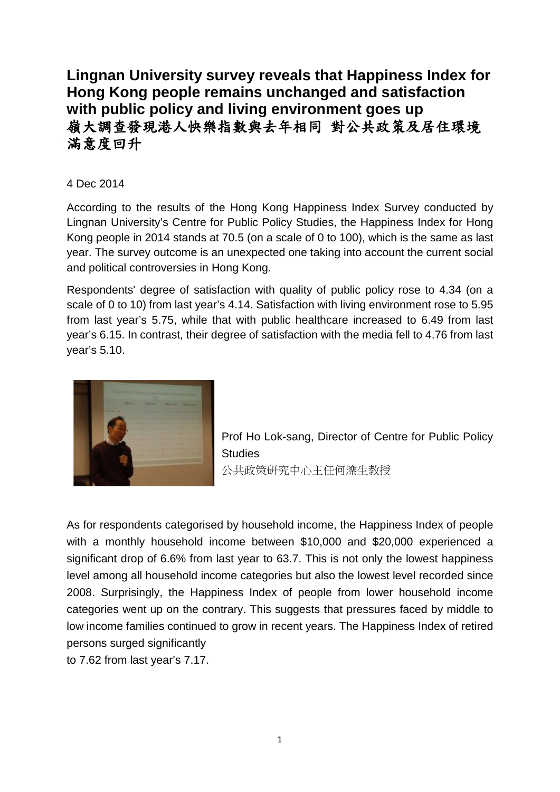# **Lingnan University survey reveals that Happiness Index for Hong Kong people remains unchanged and satisfaction with public policy and living environment goes up** 嶺大調查發現港人快樂指數與去年相同 對公共政策及居住環境 滿意度回升

## 4 Dec 2014

According to the results of the Hong Kong Happiness Index Survey conducted by Lingnan University's Centre for Public Policy Studies, the Happiness Index for Hong Kong people in 2014 stands at 70.5 (on a scale of 0 to 100), which is the same as last year. The survey outcome is an unexpected one taking into account the current social and political controversies in Hong Kong.

Respondents' degree of satisfaction with quality of public policy rose to 4.34 (on a scale of 0 to 10) from last year's 4.14. Satisfaction with living environment rose to 5.95 from last year's 5.75, while that with public healthcare increased to 6.49 from last year's 6.15. In contrast, their degree of satisfaction with the media fell to 4.76 from last year's 5.10.



Prof Ho Lok-sang, Director of Centre for Public Policy **Studies** 公共政策研究中心主任何濼生教授

As for respondents categorised by household income, the Happiness Index of people with a monthly household income between \$10,000 and \$20,000 experienced a significant drop of 6.6% from last year to 63.7. This is not only the lowest happiness level among all household income categories but also the lowest level recorded since 2008. Surprisingly, the Happiness Index of people from lower household income categories went up on the contrary. This suggests that pressures faced by middle to low income families continued to grow in recent years. The Happiness Index of retired persons surged significantly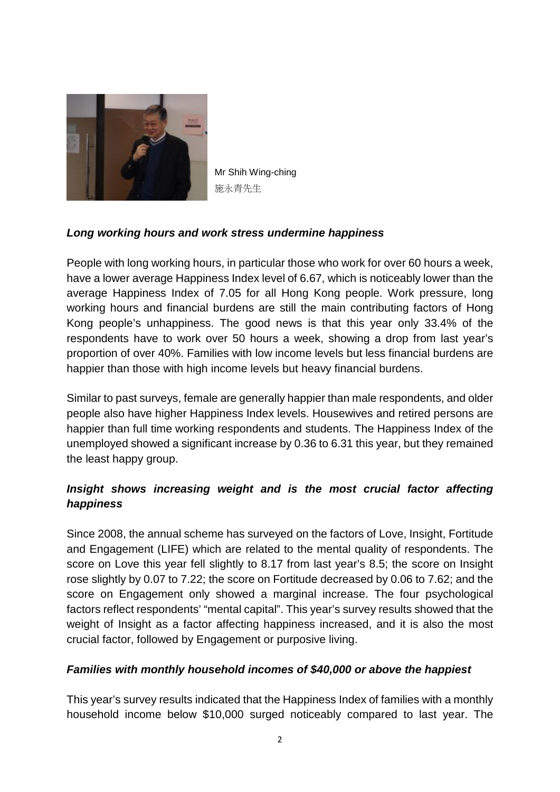

Mr Shih Wing-ching 施永青先生

## *Long working hours and work stress undermine happiness*

People with long working hours, in particular those who work for over 60 hours a week, have a lower average Happiness Index level of 6.67, which is noticeably lower than the average Happiness Index of 7.05 for all Hong Kong people. Work pressure, long working hours and financial burdens are still the main contributing factors of Hong Kong people's unhappiness. The good news is that this year only 33.4% of the respondents have to work over 50 hours a week, showing a drop from last year's proportion of over 40%. Families with low income levels but less financial burdens are happier than those with high income levels but heavy financial burdens.

Similar to past surveys, female are generally happier than male respondents, and older people also have higher Happiness Index levels. Housewives and retired persons are happier than full time working respondents and students. The Happiness Index of the unemployed showed a significant increase by 0.36 to 6.31 this year, but they remained the least happy group.

## *Insight shows increasing weight and is the most crucial factor affecting happiness*

Since 2008, the annual scheme has surveyed on the factors of Love, Insight, Fortitude and Engagement (LIFE) which are related to the mental quality of respondents. The score on Love this year fell slightly to 8.17 from last year's 8.5; the score on Insight rose slightly by 0.07 to 7.22; the score on Fortitude decreased by 0.06 to 7.62; and the score on Engagement only showed a marginal increase. The four psychological factors reflect respondents' "mental capital". This year's survey results showed that the weight of Insight as a factor affecting happiness increased, and it is also the most crucial factor, followed by Engagement or purposive living.

### *Families with monthly household incomes of \$40,000 or above the happiest*

This year's survey results indicated that the Happiness Index of families with a monthly household income below \$10,000 surged noticeably compared to last year. The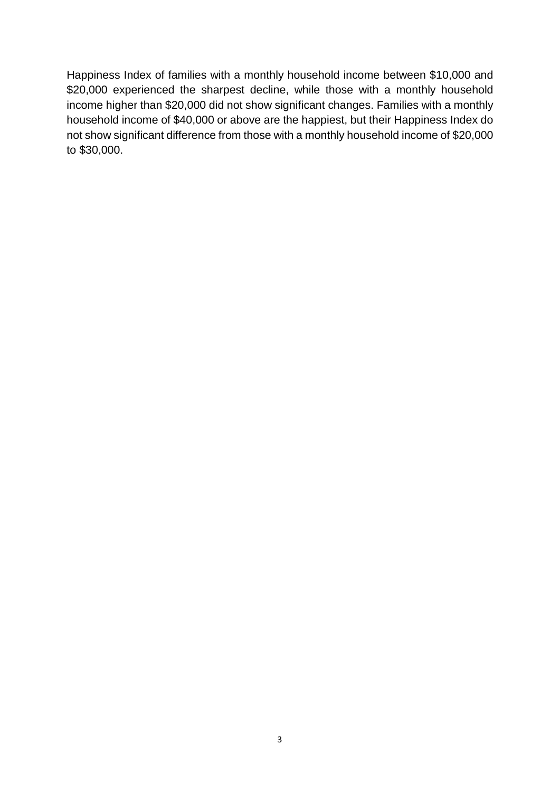Happiness Index of families with a monthly household income between \$10,000 and \$20,000 experienced the sharpest decline, while those with a monthly household income higher than \$20,000 did not show significant changes. Families with a monthly household income of \$40,000 or above are the happiest, but their Happiness Index do not show significant difference from those with a monthly household income of \$20,000 to \$30,000.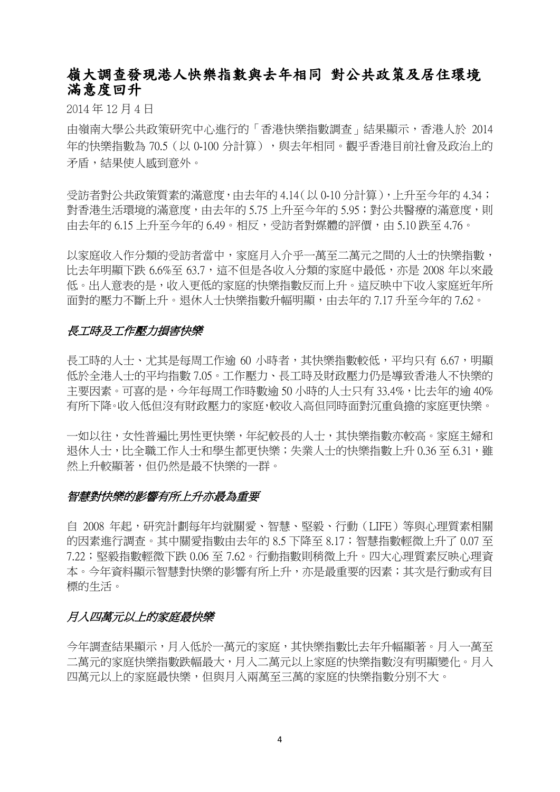## 嶺大調查發現港人快樂指數與去年相同 對公共政策及居住環境 滿意度回升

2014 年 12 月 4 日

由嶺南大學公共政策研究中心進行的「香港快樂指數調查」結果顯示,香港人於 2014 年的快樂指數為 70.5 (以 0-100 分計算), 與去年相同。觀乎香港目前社會及政治上的 矛盾,結果使人感到意外。

受訪者對公共政策質素的滿意度,由去年的 4.14(以 0-10 分計算),上升至今年的 4.34; 對香港生活環境的滿意度,由去年的 5.75 上升至今年的 5.95;對公共醫療的滿意度,則 由去年的 6.15 上升至今年的 6.49。相反,受訪者對媒體的評價,由 5.10 跌至 4.76。

以家庭收入作分類的受訪者當中,家庭月入介乎一萬至二萬元之間的人士的快樂指數, 比去年明顯下跌 6.6%至 63.7,這不但是各收入分類的家庭中最低,亦是 2008 年以來最 低。出人意表的是,收入更低的家庭的快樂指數反而上升。這反映中下收入家庭近年所 面對的壓力不斷上升。退休人士快樂指數升幅明顯,由去年的 7.17 升至今年的 7.62。

### 長工時及工作壓力損害快樂

長工時的人士、尤其是每周工作逾 60 小時者,其快樂指數較低,平均只有 6.67,明顯 低於全港人士的平均指數 7.05。工作壓力、長工時及財政壓力仍是導致香港人不快樂的 主要因素。可喜的是,今年每周工作時數逾 50 小時的人十只有 33.4%,比夫年的渝 40% 有所下降。收入低但沒有財政壓力的家庭,較收入高但同時面對沉重負擔的家庭更快樂。

一如以往,女性普遍比男性更快樂,年紀較長的人士,其快樂指數亦較高。家庭主婦和 退休人士,比全職工作人士和學生都更快樂;失業人士的快樂指數上升 0.36 至 6.31, 雖 然上升較顯著,但仍然是最不快樂的一群。

### 智慧對快樂的影響有所上升亦最為重要

自 2008 年起,研究計劃每年均就關愛、智慧、堅毅、行動(LIFE)等與心理質素相關 的因素進行調查。其中關愛指數由去年的 8.5 下降至 8.17;智慧指數輕微上升了 0.07 至 7.22;堅毅指數輕微下跌 0.06 至 7.62。行動指數則稍微上升。四大心理質素反映心理資 本。今年資料顯示智慧對快樂的影響有所上升,亦是最重要的因素;其次是行動或有目 標的生活。

### 月入四萬元以上的家庭最快樂

今年調查結果顯示,月入低於一萬元的家庭,其快樂指數比去年升幅顯著。月入一萬至 二萬元的家庭快樂指數跌幅最大,月入二萬元以上家庭的快樂指數沒有明顯變化。月入 四萬元以上的家庭最快樂,但與月入兩萬至三萬的家庭的快樂指數分別不大。